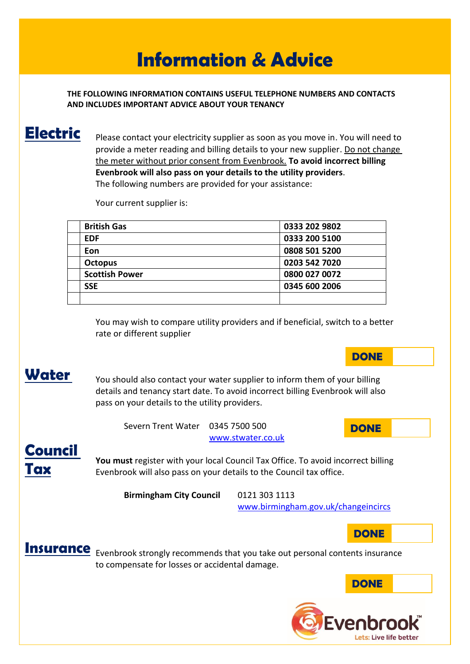# **Information & Advice**

**THE FOLLOWING INFORMATION CONTAINS USEFUL TELEPHONE NUMBERS AND CONTACTS AND INCLUDES IMPORTANT ADVICE ABOUT YOUR TENANCY**

### **Electric**

Please contact your electricity supplier as soon as you move in. You will need to provide a meter reading and billing details to your new supplier. Do not change the meter without prior consent from Evenbrook. **To avoid incorrect billing Evenbrook will also pass on your details to the utility providers**. The following numbers are provided for your assistance:

Your current supplier is:

| <b>British Gas</b>    | 0333 202 9802 |
|-----------------------|---------------|
| <b>EDF</b>            | 0333 200 5100 |
| Eon                   | 0808 501 5200 |
| <b>Octopus</b>        | 0203 542 7020 |
| <b>Scottish Power</b> | 0800 027 0072 |
| <b>SSE</b>            | 0345 600 2006 |
|                       |               |

You may wish to compare utility providers and if beneficial, switch to a better rate or different supplier

## **Water**

You should also contact your water supplier to inform them of your billing details and tenancy start date. To avoid incorrect billing Evenbrook will also pass on your details to the utility providers.

> Severn Trent Water 0345 7500 500 [www.stwater.co.uk](http://www.stwater.co.uk/)

### **Council Tax**

**You must** register with your local Council Tax Office. To avoid incorrect billing Evenbrook will also pass on your details to the Council tax office.

**Birmingham City Council** 0121 303 1113

[www.birmingham.gov.uk/changeincircs](http://www.birmingham.gov.uk/changeincircs)



**DONE**

**DONE**



**Insurance** Evenbrook strongly recommends that you take out personal contents insurance to compensate for losses or accidental damage.



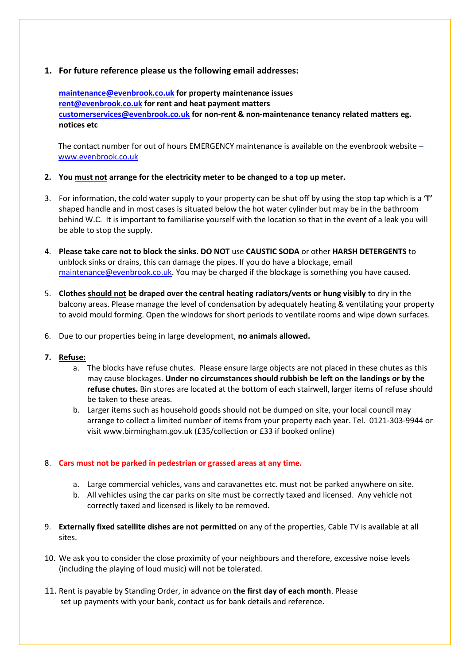#### **1. For future reference please us the following email addresses:**

**[maintenance@evenbrook.co.uk](mailto:maintenance@evenbrook.co.uk) for property maintenance issues [rent@evenbrook.co.uk](mailto:rent@evenbrook.co.uk) for rent and heat payment matters [customerservices@evenbrook.co.uk](mailto:customerservices@evenbrook.co.uk) for non-rent & non-maintenance tenancy related matters eg. notices etc**

The contact number for out of hours EMERGENCY maintenance is available on the evenbrook website – [www.evenbrook.co.uk](http://www.evenbrook.co.uk/)

#### **2. You must not arrange for the electricity meter to be changed to a top up meter.**

- 3. For information, the cold water supply to your property can be shut off by using the stop tap which is a **'T'** shaped handle and in most cases is situated below the hot water cylinder but may be in the bathroom behind W.C. It is important to familiarise yourself with the location so that in the event of a leak you will be able to stop the supply.
- 4. **Please take care not to block the sinks. DO NOT** use **CAUSTIC SODA** or other **HARSH DETERGENTS** to unblock sinks or drains, this can damage the pipes. If you do have a blockage, email [maintenance@evenbrook.co.uk.](mailto:maintenance@evenbrook.co.uk) You may be charged if the blockage is something you have caused.
- 5. **Clothes should not be draped over the central heating radiators/vents or hung visibly** to dry in the balcony areas. Please manage the level of condensation by adequately heating & ventilating your property to avoid mould forming. Open the windows for short periods to ventilate rooms and wipe down surfaces.
- 6. Due to our properties being in large development, **no animals allowed.**

#### **7. Refuse:**

- a. The blocks have refuse chutes. Please ensure large objects are not placed in these chutes as this may cause blockages. **Under no circumstances should rubbish be left on the landings or by the refuse chutes.** Bin stores are located at the bottom of each stairwell, larger items of refuse should be taken to these areas.
- b. Larger items such as household goods should not be dumped on site, your local council may arrange to collect a limited number of items from your property each year. Tel. 0121-303-9944 or visit www.birmingham.gov.uk (£35/collection or £33 if booked online)

#### 8. **Cars must not be parked in pedestrian or grassed areas at any time.**

- a. Large commercial vehicles, vans and caravanettes etc. must not be parked anywhere on site.
- b. All vehicles using the car parks on site must be correctly taxed and licensed. Any vehicle not correctly taxed and licensed is likely to be removed.
- 9. **Externally fixed satellite dishes are not permitted** on any of the properties, Cable TV is available at all sites.
- 10. We ask you to consider the close proximity of your neighbours and therefore, excessive noise levels (including the playing of loud music) will not be tolerated.
- 11. Rent is payable by Standing Order, in advance on **the first day of each month**. Please set up payments with your bank, contact us for bank details and reference.